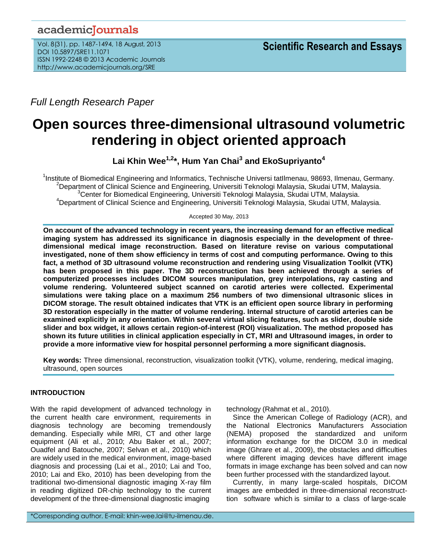## academicJournals

Vol. 8(31), pp. 1487-1494, 18 August, 2013 DOI 10.5897/SRE11.1071 ISSN 1992-2248 © 2013 Academic Journals http://www.academicjournals.org/SRE

*Full Length Research Paper*

# **Open sources three-dimensional ultrasound volumetric rendering in object oriented approach**

**Lai Khin Wee1,2\*, Hum Yan Chai<sup>3</sup> and EkoSupriyanto<sup>4</sup>**

<sup>1</sup>Institute of Biomedical Engineering and Informatics, Technische Universi tatIlmenau, 98693, Ilmenau, Germany. <sup>2</sup>Department of Clinical Science and Engineering, Universiti Teknologi Malaysia, Skudai UTM, Malaysia. <sup>3</sup>Center for Biomedical Engineering, Universiti Teknologi Malaysia, Skudai UTM, Malaysia. <sup>4</sup>Department of Clinical Science and Engineering, Universiti Teknologi Malaysia, Skudai UTM, Malaysia.

#### Accepted 30 May, 2013

**On account of the advanced technology in recent years, the increasing demand for an effective medical imaging system has addressed its significance in diagnosis especially in the development of threedimensional medical image reconstruction. Based on literature revise on various computational investigated, none of them show efficiency in terms of cost and computing performance. Owing to this fact, a method of 3D ultrasound volume reconstruction and rendering using Visualization Toolkit (VTK) has been proposed in this paper. The 3D reconstruction has been achieved through a series of computerized processes includes DICOM sources manipulation, grey interpolations, ray casting and volume rendering. Volunteered subject scanned on carotid arteries were collected. Experimental simulations were taking place on a maximum 256 numbers of two dimensional ultrasonic slices in DICOM storage. The result obtained indicates that VTK is an efficient open source library in performing 3D restoration especially in the matter of volume rendering. Internal structure of carotid arteries can be examined explicitly in any orientation. Within several virtual slicing features, such as slider, double side slider and box widget, it allows certain region-of-interest (ROI) visualization. The method proposed has shown its future utilities in clinical application especially in CT, MRI and Ultrasound images, in order to provide a more informative view for hospital personnel performing a more significant diagnosis.**

**Key words:** Three dimensional, reconstruction, visualization toolkit (VTK), volume, rendering, medical imaging, ultrasound, open sources

## **INTRODUCTION**

With the rapid development of advanced technology in the current health care environment, requirements in diagnosis technology are becoming tremendously demanding. Especially while MRI, CT and other large equipment (Ali et al., 2010; Abu Baker et al., 2007; Ouadfel and Batouche, 2007; Selvan et al., 2010) which are widely used in the medical environment, image-based diagnosis and processing (Lai et al., 2010; Lai and Too, 2010; Lai and Eko, 2010) has been developing from the traditional two-dimensional diagnostic imaging X-ray film in reading digitized DR-chip technology to the current development of the three-dimensional diagnostic imaging

technology (Rahmat et al., 2010).

Since the American College of Radiology (ACR), and the National Electronics Manufacturers Association (NEMA) proposed the standardized and uniform information exchange for the DICOM 3.0 in medical image (Ghrare et al., 2009), the obstacles and difficulties where different imaging devices have different image formats in image exchange has been solved and can now been further processed with the standardized layout.

Currently, in many large-scaled hospitals, DICOM images are embedded in three-dimensional reconstructtion software which is similar to a class of large-scale

\*Corresponding author. E-mail: khin-wee.lai@tu-ilmenau.de.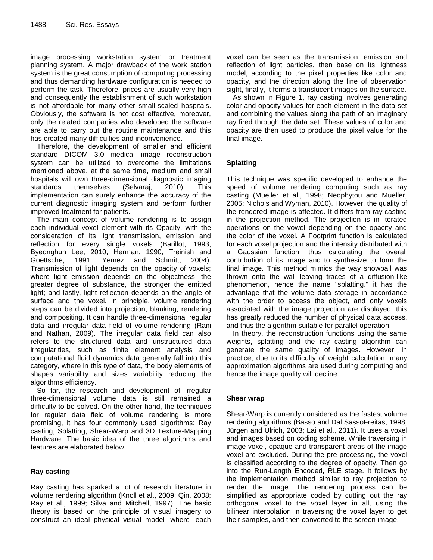image processing workstation system or treatment planning system. A major drawback of the work station system is the great consumption of computing processing and thus demanding hardware configuration is needed to perform the task. Therefore, prices are usually very high and consequently the establishment of such workstation is not affordable for many other small-scaled hospitals. Obviously, the software is not cost effective, moreover, only the related companies who developed the software are able to carry out the routine maintenance and this has created many difficulties and inconvenience.

Therefore, the development of smaller and efficient standard DICOM 3.0 medical image reconstruction system can be utilized to overcome the limitations mentioned above, at the same time, medium and small hospitals will own three-dimensional diagnostic imaging standards themselves (Selvaraj, 2010). This implementation can surely enhance the accuracy of the current diagnostic imaging system and perform further improved treatment for patients.

The main concept of volume rendering is to assign each individual voxel element with its Opacity, with the consideration of its light transmission, emission and reflection for every single voxels (Barillot, 1993; Byeonghun Lee, 2010; Herman, 1990; Treinish and Goettsche, 1991; Yemez and Schmitt, 2004). Transmission of light depends on the opacity of voxels; where light emission depends on the objectness, the greater degree of substance, the stronger the emitted light; and lastly, light reflection depends on the angle of surface and the voxel. In principle, volume rendering steps can be divided into projection, blanking, rendering and compositing. It can handle three-dimensional regular data and irregular data field of volume rendering (Rani and Nathan, 2009). The irregular data field can also refers to the structured data and unstructured data irregularities, such as finite element analysis and computational fluid dynamics data generally fall into this category, where in this type of data, the body elements of shapes variability and sizes variability reducing the algorithms efficiency.

So far, the research and development of irregular three-dimensional volume data is still remained a difficulty to be solved. On the other hand, the techniques for regular data field of volume rendering is more promising, it has four commonly used algorithms: Ray casting, Splatting, Shear-Warp and 3D Texture-Mapping Hardware. The basic idea of the three algorithms and features are elaborated below.

## **Ray casting**

Ray casting has sparked a lot of research literature in volume rendering algorithm (Knoll et al., 2009; Qin, 2008; Ray et al., 1999; Silva and Mitchell, 1997). The basic theory is based on the principle of visual imagery to construct an ideal physical visual model where each voxel can be seen as the transmission, emission and reflection of light particles, then base on its lightness model, according to the pixel properties like color and opacity, and the direction along the line of observation sight, finally, it forms a translucent images on the surface.

As shown in Figure 1, ray casting involves generating color and opacity values for each element in the data set and combining the values along the path of an imaginary ray fired through the data set. These values of color and opacity are then used to produce the pixel value for the final image.

## **Splatting**

This technique was specific developed to enhance the speed of volume rendering computing such as ray casting (Mueller et al., 1998; Neophytou and Mueller, 2005; Nichols and Wyman, 2010). However, the quality of the rendered image is affected. It differs from ray casting in the projection method. The projection is in iterated operations on the vowel depending on the opacity and the color of the voxel. A Footprint function is calculated for each voxel projection and the intensity distributed with a Gaussian function, thus calculating the overall contribution of its image and to synthesize to form the final image. This method mimics the way snowball was thrown onto the wall leaving traces of a diffusion-like phenomenon, hence the name "splatting." it has the advantage that the volume data storage in accordance with the order to access the object, and only voxels associated with the image projection are displayed, this has greatly reduced the number of physical data access, and thus the algorithm suitable for parallel operation.

In theory, the reconstruction functions using the same weights, splatting and the ray casting algorithm can generate the same quality of images. However, in practice, due to its difficulty of weight calculation, many approximation algorithms are used during computing and hence the image quality will decline.

## **Shear wrap**

Shear-Warp is currently considered as the fastest volume rendering algorithms (Basso and Dal SassoFreitas, 1998; Jürgen and Ulrich, 2003; Lai et al., 2011). It uses a voxel and images based on coding scheme. While traversing in image voxel, opaque and transparent areas of the image voxel are excluded. During the pre-processing, the voxel is classified according to the degree of opacity. Then go into the Run-Length Encoded, RLE stage. It follows by the implementation method similar to ray projection to render the image. The rendering process can be simplified as appropriate coded by cutting out the ray orthogonal voxel to the voxel layer in all, using the bilinear interpolation in traversing the voxel layer to get their samples, and then converted to the screen image.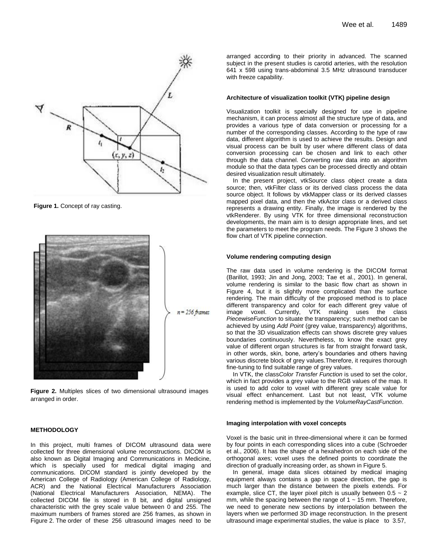

**Figure 1.** Concept of ray casting.



**Figure 2.** Multiples slices of two dimensional ultrasound images arranged in order.

#### **METHODOLOGY**

In this project, multi frames of DICOM ultrasound data were collected for three dimensional volume reconstructions. DICOM is also known as Digital Imaging and Communications in Medicine, which is specially used for medical digital imaging and communications. DICOM standard is jointly developed by the American College of Radiology (American College of Radiology, ACR) and the National Electrical Manufacturers Association (National Electrical Manufacturers Association, NEMA). The collected DICOM file is stored in 8 bit, and digital unsigned characteristic with the grey scale value between 0 and 255. The maximum numbers of frames stored are 256 frames, as shown in Figure 2. The order of these 256 ultrasound images need to be

arranged according to their priority in advanced. The scanned subject in the present studies is carotid arteries, with the resolution 641 x 598 using trans-abdominal 3.5 MHz ultrasound transducer with freeze capability.

#### **Architecture of visualization toolkit (VTK) pipeline design**

Visualization toolkit is specially designed for use in pipeline mechanism, it can process almost all the structure type of data, and provides a various type of data conversion or processing for a number of the corresponding classes. According to the type of raw data, different algorithm is used to achieve the results. Design and visual process can be built by user where different class of data conversion processing can be chosen and link to each other through the data channel. Converting raw data into an algorithm module so that the data types can be processed directly and obtain desired visualization result ultimately.

In the present project, vtkSource class object create a data source; then, vtkFilter class or its derived class process the data source object. It follows by vtkMapper class or its derived classes mapped pixel data, and then the vtkActor class or a derived class represents a drawing entity. Finally, the image is rendered by the vtkRenderer. By using VTK for three dimensional reconstruction developments, the main aim is to design appropriate lines, and set the parameters to meet the program needs. The Figure 3 shows the flow chart of VTK pipeline connection.

#### **Volume rendering computing design**

The raw data used in volume rendering is the DICOM format (Barillot, 1993; Jin and Jong, 2003; Tae et al., 2001). In general, volume rendering is similar to the basic flow chart as shown in Figure 4, but it is slightly more complicated than the surface rendering. The main difficulty of the proposed method is to place different transparency and color for each different grey value of image voxel. Currently, VTK making uses the class *PiecewiseFunction* to situate the transparency; such method can be achieved by using *Add Point* (grey value, transparency) algorithms, so that the 3D visualization effects can shows discrete grey values boundaries continuously. Nevertheless, to know the exact grey value of different organ structures is far from straight forward task, in other words, skin, bone, artery's boundaries and others having various discrete block of grey values.Therefore, it requires thorough fine-tuning to find suitable range of grey values.

In VTK, the class*Color Transfer Function* is used to set the color, which in fact provides a grey value to the RGB values of the map. It is used to add color to voxel with different grey scale value for visual effect enhancement. Last but not least, VTK volume rendering method is implemented by the *VolumeRayCastFunction*.

#### **Imaging interpolation with voxel concepts**

Voxel is the basic unit in three-dimensional where it can be formed by four points in each corresponding slices into a cube (Schroeder et al., 2006). It has the shape of a hexahedron on each side of the orthogonal axes; voxel uses the defined points to coordinate the direction of gradually increasing order, as shown in Figure 5.

In general, image data slices obtained by medical imaging equipment always contains a gap in space direction, the gap is much larger than the distance between the pixels extends. For example, slice CT, the layer pixel pitch is usually between  $0.5 \sim 2$ mm, while the spacing between the range of  $1 \sim 15$  mm. Therefore, we need to generate new sections by interpolation between the layers when we performed 3D image reconstruction. In the present ultrasound image experimental studies, the value is place to 3.57,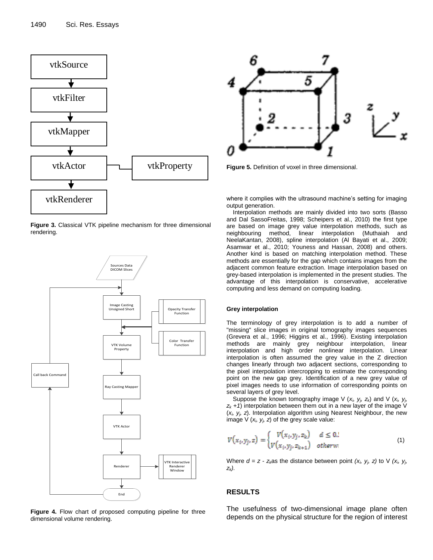

**Figure 3.** Classical VTK pipeline mechanism for three dimensional rendering.



**Figure 4.** Flow chart of proposed computing pipeline for three dimensional volume rendering.



**Figure 5.** Definition of voxel in three dimensional.

where it complies with the ultrasound machine's setting for imaging output generation.

Interpolation methods are mainly divided into two sorts (Basso and Dal SassoFreitas, 1998; Scheipers et al., 2010) the first type are based on image grey value interpolation methods, such as neighbouring method, linear interpolation (Muthaiah and NeelaKantan, 2008), spline interpolation (Al Bayati et al., 2009; Asamwar et al., 2010; Youness and Hassan, 2008) and others. Another kind is based on matching interpolation method. These methods are essentially for the gap which contains images from the adjacent common feature extraction. Image interpolation based on grey-based interpolation is implemented in the present studies. The advantage of this interpolation is conservative, accelerative computing and less demand on computing loading.

#### **Grey interpolation**

The terminology of grey interpolation is to add a number of "missing" slice images in original tomography images sequences (Grevera et al., 1996; Higgins et al., 1996). Existing interpolation methods are mainly grey neighbour interpolation, linear interpolation and high order nonlinear interpolation. Linear interpolation is often assumed the grey value in the Z direction changes linearly through two adjacent sections, corresponding to the pixel interpolation intercropping to estimate the corresponding point on the new gap grey. Identification of a new grey value of pixel images needs to use information of corresponding points on several layers of grey level.

Suppose the known tomography image V  $(x_i, y_j, z_k)$  and V  $(x_i, y_j, z_k)$  $z_k$  +1) interpolation between them out in a new layer of the image V (*xi, yj, z*). Interpolation algorithm using Nearest Neighbour, the new image  $V(x_i, y_i, z)$  of the grey scale value:

$$
V(x_i, y_j, z) = \begin{cases} V(x_i, y_j, z_k) & d \leq 0.2\\ V(x_i, y_j, z_{k+1}) & otherwise \end{cases}
$$
 (1)

Where  $d = z - z_k$ as the distance between point  $(x_i, y_j, z)$  to V  $(x_i, y_j, z)$ *zk).*

## **RESULTS**

The usefulness of two-dimensional image plane often depends on the physical structure for the region of interest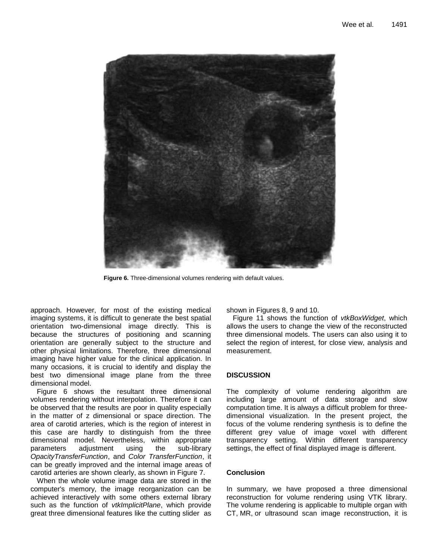

**Figure 6.** Three-dimensional volumes rendering with default values.

approach. However, for most of the existing medical imaging systems, it is difficult to generate the best spatial orientation two-dimensional image directly. This is because the structures of positioning and scanning orientation are generally subject to the structure and other physical limitations. Therefore, three dimensional imaging have higher value for the clinical application. In many occasions, it is crucial to identify and display the best two dimensional image plane from the three dimensional model.

Figure 6 shows the resultant three dimensional volumes rendering without interpolation. Therefore it can be observed that the results are poor in quality especially in the matter of z dimensional or space direction. The area of carotid arteries, which is the region of interest in this case are hardly to distinguish from the three dimensional model. Nevertheless, within appropriate parameters adjustment using the sub-library *OpacityTransferFunction*, and *Color TransferFunction*, it can be greatly improved and the internal image areas of carotid arteries are shown clearly, as shown in Figure 7.

When the whole volume image data are stored in the computer's memory, the image reorganization can be achieved interactively with some others external library such as the function of *vtkImplicitPlane*, which provide great three dimensional features like the cutting slider as shown in Figures 8, 9 and 10.

Figure 11 shows the function of *vtkBoxWidget*, which allows the users to change the view of the reconstructed three dimensional models. The users can also using it to select the region of interest, for close view, analysis and measurement.

### **DISCUSSION**

The complexity of volume rendering algorithm are including large amount of data storage and slow computation time. It is always a difficult problem for threedimensional visualization. In the present project, the focus of the volume rendering synthesis is to define the different grey value of image voxel with different transparency setting. Within different transparency settings, the effect of final displayed image is different.

## **Conclusion**

In summary, we have proposed a three dimensional reconstruction for volume rendering using VTK library. The volume rendering is applicable to multiple organ with CT, MR, or ultrasound scan image reconstruction, it is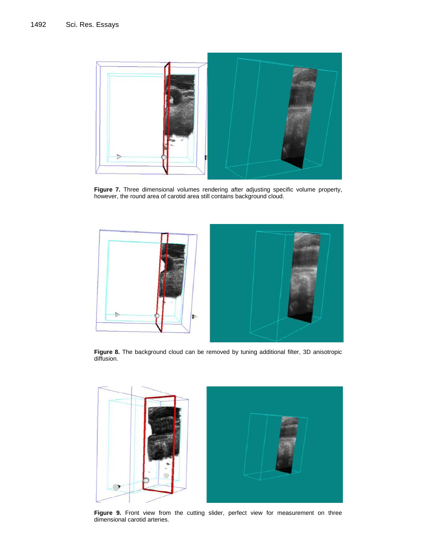

**Figure 7.** Three dimensional volumes rendering after adjusting specific volume property, however, the round area of carotid area still contains background cloud.



**Figure 8.** The background cloud can be removed by tuning additional filter, 3D anisotropic diffusion.



**Figure 9.** Front view from the cutting slider, perfect view for measurement on three dimensional carotid arteries.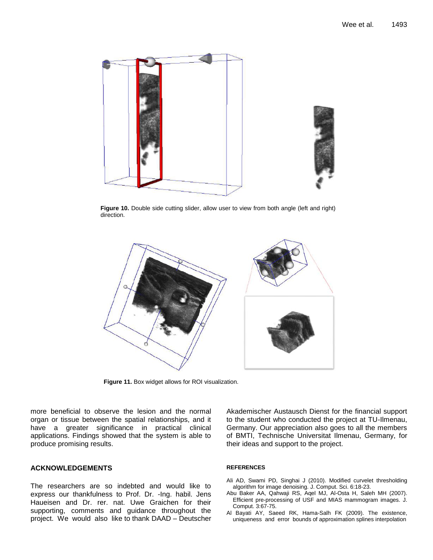

**Figure 10.** Double side cutting slider, allow user to view from both angle (left and right) direction.



**Figure 11.** Box widget allows for ROI visualization.

more beneficial to observe the lesion and the normal organ or tissue between the spatial relationships, and it have a greater significance in practical clinical applications. Findings showed that the system is able to produce promising results.

## **ACKNOWLEDGEMENTS**

The researchers are so indebted and would like to express our thankfulness to Prof. Dr. -Ing. habil. Jens Haueisen and Dr. rer. nat. Uwe Graichen for their supporting, comments and guidance throughout the project. We would also like to thank DAAD – Deutscher Akademischer Austausch Dienst for the financial support to the student who conducted the project at TU-Ilmenau, Germany. Our appreciation also goes to all the members of BMTI, Technische Universitat Ilmenau, Germany, for their ideas and support to the project.

#### **REFERENCES**

- Ali AD, Swami PD, Singhai J (2010). Modified curvelet thresholding algorithm for image denoising. J. Comput. Sci. 6:18-23.
- Abu Baker AA, Qahwaji RS, Aqel MJ, Al-Osta H, Saleh MH (2007). Efficient pre-processing of USF and MIAS mammogram images. J. Comput. 3:67-75.
- Al Bayati AY, Saeed RK, Hama-Salh FK (2009). The existence, uniqueness and error bounds of approximation splines interpolation